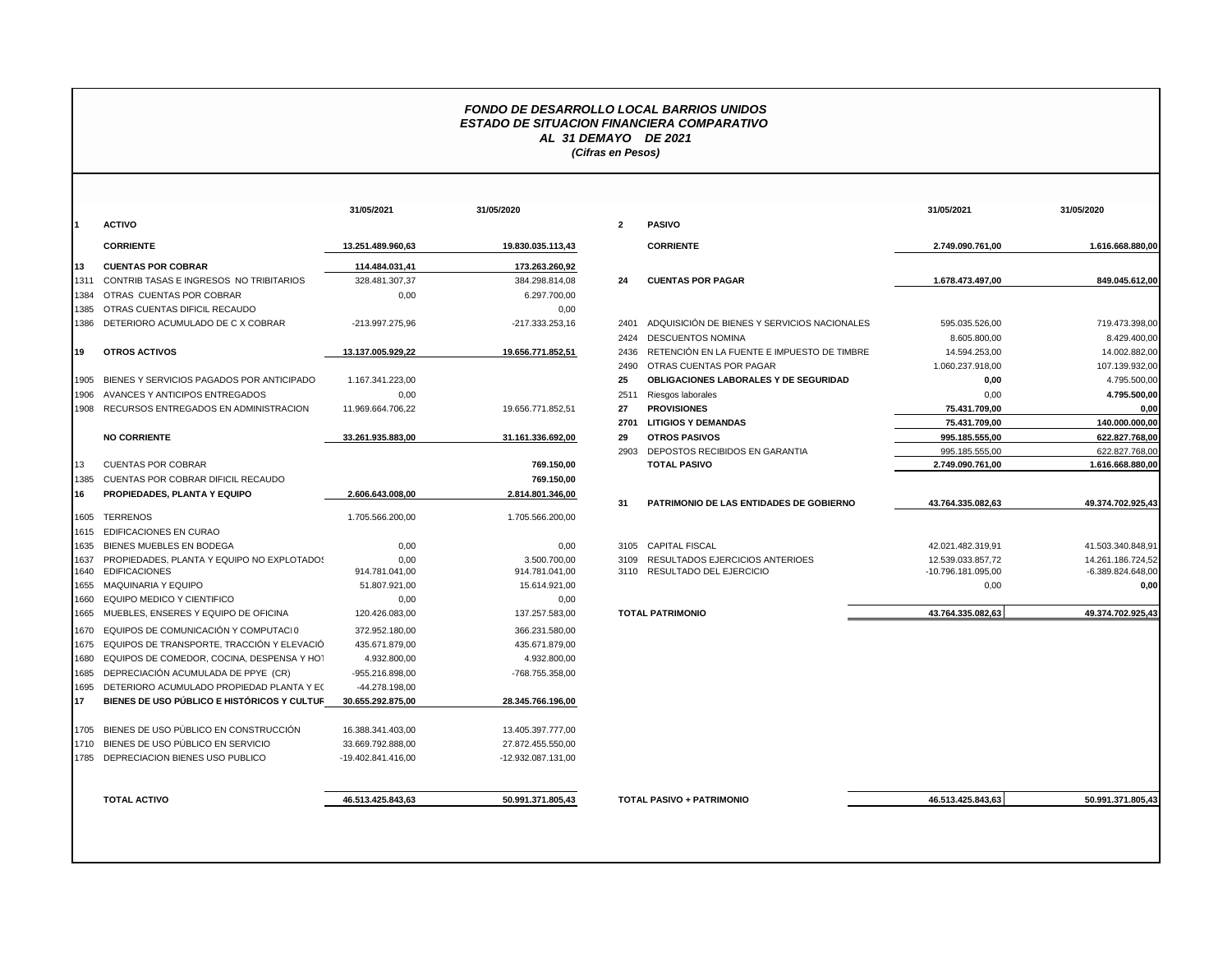## *FONDO DE DESARROLLO LOCAL BARRIOS UNIDOS ESTADO DE SITUACION FINANCIERA COMPARATIVO AL 31 DEMAYO DE 2021 (Cifras en Pesos)*

|              |                                                                    | 31/05/2021             | 31/05/2020                     |                |                              |
|--------------|--------------------------------------------------------------------|------------------------|--------------------------------|----------------|------------------------------|
| 1            | <b>ACTIVO</b>                                                      |                        |                                | $\overline{2}$ | <b>PASIVO</b>                |
|              | <b>CORRIENTE</b>                                                   | 13.251.489.960.63      | 19.830.035.113,43              |                | <b>CORRIE</b>                |
| 13           | <b>CUENTAS POR COBRAR</b>                                          | 114.484.031,41         | 173.263.260,92                 |                |                              |
| 1311         | CONTRIB TASAS E INGRESOS NO TRIBITARIOS                            | 328.481.307.37         | 384.298.814.08                 | 24             | <b>CUENT/</b>                |
| 1384         | OTRAS CUENTAS POR COBRAR                                           | 0.00                   | 6.297.700,00                   |                |                              |
| 1385         | OTRAS CUENTAS DIFICIL RECAUDO                                      |                        | 0,00                           |                |                              |
| 1386         | DETERIORO ACUMULADO DE C X COBRAR                                  | -213.997.275,96        | $-217.333.253.16$              | 2401           | <b>ADQUIS</b>                |
|              |                                                                    |                        |                                | 2424           | <b>DESCUI</b>                |
| 19           | <b>OTROS ACTIVOS</b>                                               | 13.137.005.929,22      | 19.656.771.852,51              | 2436           | <b>RETENO</b>                |
|              |                                                                    |                        |                                | 2490           | <b>OTRAS</b>                 |
| 1905         | BIENES Y SERVICIOS PAGADOS POR ANTICIPADO                          | 1.167.341.223,00       |                                | 25             | <b>OBLIGA</b>                |
| 1906         | AVANCES Y ANTICIPOS ENTREGADOS                                     | 0,00                   |                                | 2511           | Riesgos                      |
| 1908         | RECURSOS ENTREGADOS EN ADMINISTRACION                              | 11.969.664.706,22      | 19.656.771.852,51              | 27             | <b>PROVIS</b>                |
|              |                                                                    |                        |                                | 2701           | <b>LITIGIO</b>               |
|              | <b>NO CORRIENTE</b>                                                | 33.261.935.883,00      | 31.161.336.692,00              | 29             | <b>OTROS</b>                 |
|              |                                                                    |                        |                                | 2903           | DEPOS <sup>-</sup>           |
| 13           | <b>CUENTAS POR COBRAR</b>                                          |                        | 769.150,00                     |                | <b>TOTAL</b>                 |
| 1385         | <b>CUENTAS POR COBRAR DIFICIL RECAUDO</b>                          |                        | 769.150,00                     |                |                              |
| 16           | PROPIEDADES, PLANTA Y EQUIPO                                       | 2.606.643.008,00       | 2.814.801.346,00               |                |                              |
|              |                                                                    |                        |                                | 31             | <b>PATRIM</b>                |
| 1605         | <b>TERRENOS</b>                                                    | 1.705.566.200,00       | 1.705.566.200,00               |                |                              |
| 1615         | <b>EDIFICACIONES EN CURAO</b>                                      |                        |                                |                |                              |
| 1635         | BIENES MUEBLES EN BODEGA                                           | 0,00                   | 0,00                           |                | 3105 CAPITA                  |
| 1637<br>1640 | PROPIEDADES, PLANTA Y EQUIPO NO EXPLOTADOS<br><b>EDIFICACIONES</b> | 0.00<br>914.781.041,00 | 3.500.700.00<br>914.781.041.00 | 3109           | <b>RESULT</b><br>3110 RESULT |
| 1655         | <b>MAQUINARIA Y EQUIPO</b>                                         | 51.807.921.00          | 15.614.921.00                  |                |                              |
| 1660         | EQUIPO MEDICO Y CIENTIFICO                                         | 0.00                   | 0.00                           |                |                              |
| 1665         | MUEBLES, ENSERES Y EQUIPO DE OFICINA                               | 120.426.083,00         | 137.257.583,00                 |                | <b>TOTAL PATRIN</b>          |
| 1670         | EQUIPOS DE COMUNICACIÓN Y COMPUTACIO                               | 372.952.180,00         | 366.231.580,00                 |                |                              |
| 1675         | EQUIPOS DE TRANSPORTE, TRACCIÓN Y ELEVACIÓ                         | 435.671.879,00         | 435.671.879,00                 |                |                              |
| 1680         | EQUIPOS DE COMEDOR, COCINA, DESPENSA Y HOT                         | 4.932.800,00           | 4.932.800,00                   |                |                              |
| 1685         | DEPRECIACIÓN ACUMULADA DE PPYE (CR)                                | -955.216.898,00        | -768.755.358,00                |                |                              |
| 1695         | DETERIORO ACUMULADO PROPIEDAD PLANTA Y EC                          | -44.278.198,00         |                                |                |                              |
| 17           | <b>BIENES DE USO PÚBLICO E HISTÓRICOS Y CULTUR</b>                 | 30.655.292.875,00      | 28.345.766.196,00              |                |                              |
|              |                                                                    |                        |                                |                |                              |
| 1705         | BIENES DE USO PÚBLICO EN CONSTRUCCIÓN                              | 16.388.341.403,00      | 13.405.397.777,00              |                |                              |
| 1710         | BIENES DE USO PÚBLICO EN SERVICIO                                  | 33.669.792.888,00      | 27.872.455.550,00              |                |                              |
| 1785         | DEPRECIACION BIENES USO PUBLICO                                    | -19.402.841.416,00     | -12.932.087.131,00             |                |                              |
|              | <b>TOTAL ACTIVO</b>                                                | 46.513.425.843,63      | 50.991.371.805,43              |                | <b>TOTAL PASIVO</b>          |

| <b>CORRIENTE</b><br><b>CUENTAS POR COBRAR</b><br>CONTRIB TASAS E INGRESOS NO TRIBITARIOS<br>OTRAS CUENTAS POR COBRAR<br>OTRAS CUENTAS DIFICIL RECAUDO<br>1386 DETERIORO ACUMULADO DE CX COBRAR<br><b>OTROS ACTIVOS</b><br>1905 BIENES Y SERVICIOS PAGADOS POR ANTICIPADO<br>1906 AVANCES Y ANTICIPOS ENTREGADOS<br>1908 RECURSOS ENTREGADOS EN ADMINISTRACION<br><b>NO CORRIENTE</b><br><b>CUENTAS POR COBRAR</b><br>CUENTAS POR COBRAR DIFICIL RECAUDO<br>PROPIEDADES, PLANTA Y EQUIPO<br>1605 TERRENOS | 13.251.489.960.63<br>114.484.031,41<br>328.481.307,37<br>0,00<br>-213.997.275.96<br>13.137.005.929.22<br>1.167.341.223,00<br>0,00<br>11.969.664.706,22<br>33.261.935.883.00<br>2.606.643.008.00<br>1.705.566.200.00                             | 19.830.035.113,43<br>173.263.260,92<br>384.298.814.08<br>6.297.700,00<br>0,00<br>-217.333.253,16<br>19.656.771.852,51<br>19.656.771.852,51<br>31.161.336.692,00<br>769.150,00<br>769.150,00<br>2.814.801.346,00<br>1.705.566.200.00 | $\overline{2}$<br>24<br>2401<br>2424<br>2436<br>2490<br>25<br>2511<br>27<br>2701<br>29<br>2903<br>31 | <b>PASIVO</b><br><b>CORRIENTE</b><br><b>CUENTAS POR PAGAR</b><br>ADQUISICIÓN DE BIENES Y SERVICIOS NACIONALES<br><b>DESCUENTOS NOMINA</b><br>RETENCIÓN EN LA FUENTE E IMPUESTO DE TIMBRE<br>OTRAS CUENTAS POR PAGAR<br>OBLIGACIONES LABORALES Y DE SEGURIDAD<br>Riesgos laborales<br><b>PROVISIONES</b><br><b>LITIGIOS Y DEMANDAS</b><br><b>OTROS PASIVOS</b><br>DEPOSTOS RECIBIDOS EN GARANTIA<br><b>TOTAL PASIVO</b><br>PATRIMONIO DE LAS ENTIDADES DE GOBIERNO | 2.749.090.761.00<br>1.678.473.497.00<br>595.035.526,00<br>8.605.800,00<br>14.594.253,00<br>1.060.237.918.00<br>0,00<br>0,00<br>75.431.709,00<br>75.431.709.00<br>995.185.555,00<br>995.185.555,00<br>2.749.090.761,00<br>43.764.335.082,63 | 1.616.668.880.00<br>849.045.612.00<br>719.473.398.00<br>8.429.400,00<br>14.002.882,00<br>107.139.932.00<br>4.795.500.00<br>4.795.500,00<br>0.00<br>140.000.000.00<br>622.827.768,00<br>622.827.768,00<br>1.616.668.880,00<br>49.374.702.925,43 |
|----------------------------------------------------------------------------------------------------------------------------------------------------------------------------------------------------------------------------------------------------------------------------------------------------------------------------------------------------------------------------------------------------------------------------------------------------------------------------------------------------------|-------------------------------------------------------------------------------------------------------------------------------------------------------------------------------------------------------------------------------------------------|-------------------------------------------------------------------------------------------------------------------------------------------------------------------------------------------------------------------------------------|------------------------------------------------------------------------------------------------------|-------------------------------------------------------------------------------------------------------------------------------------------------------------------------------------------------------------------------------------------------------------------------------------------------------------------------------------------------------------------------------------------------------------------------------------------------------------------|--------------------------------------------------------------------------------------------------------------------------------------------------------------------------------------------------------------------------------------------|------------------------------------------------------------------------------------------------------------------------------------------------------------------------------------------------------------------------------------------------|
|                                                                                                                                                                                                                                                                                                                                                                                                                                                                                                          |                                                                                                                                                                                                                                                 |                                                                                                                                                                                                                                     |                                                                                                      |                                                                                                                                                                                                                                                                                                                                                                                                                                                                   |                                                                                                                                                                                                                                            |                                                                                                                                                                                                                                                |
|                                                                                                                                                                                                                                                                                                                                                                                                                                                                                                          |                                                                                                                                                                                                                                                 |                                                                                                                                                                                                                                     |                                                                                                      |                                                                                                                                                                                                                                                                                                                                                                                                                                                                   |                                                                                                                                                                                                                                            |                                                                                                                                                                                                                                                |
|                                                                                                                                                                                                                                                                                                                                                                                                                                                                                                          |                                                                                                                                                                                                                                                 |                                                                                                                                                                                                                                     |                                                                                                      |                                                                                                                                                                                                                                                                                                                                                                                                                                                                   |                                                                                                                                                                                                                                            |                                                                                                                                                                                                                                                |
|                                                                                                                                                                                                                                                                                                                                                                                                                                                                                                          |                                                                                                                                                                                                                                                 |                                                                                                                                                                                                                                     |                                                                                                      |                                                                                                                                                                                                                                                                                                                                                                                                                                                                   |                                                                                                                                                                                                                                            |                                                                                                                                                                                                                                                |
|                                                                                                                                                                                                                                                                                                                                                                                                                                                                                                          |                                                                                                                                                                                                                                                 |                                                                                                                                                                                                                                     |                                                                                                      |                                                                                                                                                                                                                                                                                                                                                                                                                                                                   |                                                                                                                                                                                                                                            |                                                                                                                                                                                                                                                |
|                                                                                                                                                                                                                                                                                                                                                                                                                                                                                                          |                                                                                                                                                                                                                                                 |                                                                                                                                                                                                                                     |                                                                                                      |                                                                                                                                                                                                                                                                                                                                                                                                                                                                   |                                                                                                                                                                                                                                            |                                                                                                                                                                                                                                                |
|                                                                                                                                                                                                                                                                                                                                                                                                                                                                                                          |                                                                                                                                                                                                                                                 |                                                                                                                                                                                                                                     |                                                                                                      |                                                                                                                                                                                                                                                                                                                                                                                                                                                                   |                                                                                                                                                                                                                                            |                                                                                                                                                                                                                                                |
|                                                                                                                                                                                                                                                                                                                                                                                                                                                                                                          |                                                                                                                                                                                                                                                 |                                                                                                                                                                                                                                     |                                                                                                      |                                                                                                                                                                                                                                                                                                                                                                                                                                                                   |                                                                                                                                                                                                                                            |                                                                                                                                                                                                                                                |
|                                                                                                                                                                                                                                                                                                                                                                                                                                                                                                          |                                                                                                                                                                                                                                                 |                                                                                                                                                                                                                                     |                                                                                                      |                                                                                                                                                                                                                                                                                                                                                                                                                                                                   |                                                                                                                                                                                                                                            |                                                                                                                                                                                                                                                |
|                                                                                                                                                                                                                                                                                                                                                                                                                                                                                                          |                                                                                                                                                                                                                                                 |                                                                                                                                                                                                                                     |                                                                                                      |                                                                                                                                                                                                                                                                                                                                                                                                                                                                   |                                                                                                                                                                                                                                            |                                                                                                                                                                                                                                                |
|                                                                                                                                                                                                                                                                                                                                                                                                                                                                                                          |                                                                                                                                                                                                                                                 |                                                                                                                                                                                                                                     |                                                                                                      |                                                                                                                                                                                                                                                                                                                                                                                                                                                                   |                                                                                                                                                                                                                                            |                                                                                                                                                                                                                                                |
|                                                                                                                                                                                                                                                                                                                                                                                                                                                                                                          |                                                                                                                                                                                                                                                 |                                                                                                                                                                                                                                     |                                                                                                      |                                                                                                                                                                                                                                                                                                                                                                                                                                                                   |                                                                                                                                                                                                                                            |                                                                                                                                                                                                                                                |
|                                                                                                                                                                                                                                                                                                                                                                                                                                                                                                          |                                                                                                                                                                                                                                                 |                                                                                                                                                                                                                                     |                                                                                                      |                                                                                                                                                                                                                                                                                                                                                                                                                                                                   |                                                                                                                                                                                                                                            |                                                                                                                                                                                                                                                |
|                                                                                                                                                                                                                                                                                                                                                                                                                                                                                                          |                                                                                                                                                                                                                                                 |                                                                                                                                                                                                                                     |                                                                                                      |                                                                                                                                                                                                                                                                                                                                                                                                                                                                   |                                                                                                                                                                                                                                            |                                                                                                                                                                                                                                                |
|                                                                                                                                                                                                                                                                                                                                                                                                                                                                                                          |                                                                                                                                                                                                                                                 |                                                                                                                                                                                                                                     |                                                                                                      |                                                                                                                                                                                                                                                                                                                                                                                                                                                                   |                                                                                                                                                                                                                                            |                                                                                                                                                                                                                                                |
|                                                                                                                                                                                                                                                                                                                                                                                                                                                                                                          |                                                                                                                                                                                                                                                 |                                                                                                                                                                                                                                     |                                                                                                      |                                                                                                                                                                                                                                                                                                                                                                                                                                                                   |                                                                                                                                                                                                                                            |                                                                                                                                                                                                                                                |
|                                                                                                                                                                                                                                                                                                                                                                                                                                                                                                          |                                                                                                                                                                                                                                                 |                                                                                                                                                                                                                                     |                                                                                                      |                                                                                                                                                                                                                                                                                                                                                                                                                                                                   |                                                                                                                                                                                                                                            |                                                                                                                                                                                                                                                |
|                                                                                                                                                                                                                                                                                                                                                                                                                                                                                                          |                                                                                                                                                                                                                                                 |                                                                                                                                                                                                                                     |                                                                                                      |                                                                                                                                                                                                                                                                                                                                                                                                                                                                   |                                                                                                                                                                                                                                            |                                                                                                                                                                                                                                                |
|                                                                                                                                                                                                                                                                                                                                                                                                                                                                                                          |                                                                                                                                                                                                                                                 |                                                                                                                                                                                                                                     |                                                                                                      |                                                                                                                                                                                                                                                                                                                                                                                                                                                                   |                                                                                                                                                                                                                                            |                                                                                                                                                                                                                                                |
|                                                                                                                                                                                                                                                                                                                                                                                                                                                                                                          |                                                                                                                                                                                                                                                 |                                                                                                                                                                                                                                     |                                                                                                      |                                                                                                                                                                                                                                                                                                                                                                                                                                                                   |                                                                                                                                                                                                                                            |                                                                                                                                                                                                                                                |
|                                                                                                                                                                                                                                                                                                                                                                                                                                                                                                          |                                                                                                                                                                                                                                                 |                                                                                                                                                                                                                                     |                                                                                                      |                                                                                                                                                                                                                                                                                                                                                                                                                                                                   |                                                                                                                                                                                                                                            |                                                                                                                                                                                                                                                |
| 1615 EDIFICACIONES EN CURAO                                                                                                                                                                                                                                                                                                                                                                                                                                                                              |                                                                                                                                                                                                                                                 |                                                                                                                                                                                                                                     |                                                                                                      |                                                                                                                                                                                                                                                                                                                                                                                                                                                                   |                                                                                                                                                                                                                                            |                                                                                                                                                                                                                                                |
| 1635 BIENES MUEBLES EN BODEGA                                                                                                                                                                                                                                                                                                                                                                                                                                                                            | 0,00                                                                                                                                                                                                                                            | 0,00                                                                                                                                                                                                                                |                                                                                                      | 3105 CAPITAL FISCAL                                                                                                                                                                                                                                                                                                                                                                                                                                               | 42.021.482.319,91                                                                                                                                                                                                                          | 41.503.340.848,91                                                                                                                                                                                                                              |
| 1637 PROPIEDADES, PLANTA Y EQUIPO NO EXPLOTADOS<br>1640 EDIFICACIONES                                                                                                                                                                                                                                                                                                                                                                                                                                    | 0.00<br>914.781.041,00                                                                                                                                                                                                                          | 3.500.700.00<br>914.781.041,00                                                                                                                                                                                                      | 3109                                                                                                 | RESULTADOS EJERCICIOS ANTERIOES<br>3110 RESULTADO DEL EJERCICIO                                                                                                                                                                                                                                                                                                                                                                                                   | 12.539.033.857.72<br>-10.796.181.095,00                                                                                                                                                                                                    | 14.261.186.724.52<br>-6.389.824.648,00                                                                                                                                                                                                         |
| 1655 MAQUINARIA Y EQUIPO                                                                                                                                                                                                                                                                                                                                                                                                                                                                                 | 51.807.921,00                                                                                                                                                                                                                                   | 15.614.921,00                                                                                                                                                                                                                       |                                                                                                      |                                                                                                                                                                                                                                                                                                                                                                                                                                                                   | 0,00                                                                                                                                                                                                                                       | 0.00                                                                                                                                                                                                                                           |
| 1660 EQUIPO MEDICO Y CIENTIFICO                                                                                                                                                                                                                                                                                                                                                                                                                                                                          | 0,00                                                                                                                                                                                                                                            | 0,00                                                                                                                                                                                                                                |                                                                                                      |                                                                                                                                                                                                                                                                                                                                                                                                                                                                   |                                                                                                                                                                                                                                            |                                                                                                                                                                                                                                                |
| 1665 MUEBLES, ENSERES Y EQUIPO DE OFICINA                                                                                                                                                                                                                                                                                                                                                                                                                                                                | 120.426.083,00                                                                                                                                                                                                                                  | 137.257.583,00                                                                                                                                                                                                                      |                                                                                                      | <b>TOTAL PATRIMONIO</b>                                                                                                                                                                                                                                                                                                                                                                                                                                           | 43.764.335.082,63                                                                                                                                                                                                                          | 49.374.702.925,43                                                                                                                                                                                                                              |
| 1670 EQUIPOS DE COMUNICACIÓN Y COMPUTACI 0                                                                                                                                                                                                                                                                                                                                                                                                                                                               | 372.952.180.00                                                                                                                                                                                                                                  | 366.231.580.00                                                                                                                                                                                                                      |                                                                                                      |                                                                                                                                                                                                                                                                                                                                                                                                                                                                   |                                                                                                                                                                                                                                            |                                                                                                                                                                                                                                                |
|                                                                                                                                                                                                                                                                                                                                                                                                                                                                                                          |                                                                                                                                                                                                                                                 |                                                                                                                                                                                                                                     |                                                                                                      |                                                                                                                                                                                                                                                                                                                                                                                                                                                                   |                                                                                                                                                                                                                                            |                                                                                                                                                                                                                                                |
|                                                                                                                                                                                                                                                                                                                                                                                                                                                                                                          |                                                                                                                                                                                                                                                 |                                                                                                                                                                                                                                     |                                                                                                      |                                                                                                                                                                                                                                                                                                                                                                                                                                                                   |                                                                                                                                                                                                                                            |                                                                                                                                                                                                                                                |
|                                                                                                                                                                                                                                                                                                                                                                                                                                                                                                          |                                                                                                                                                                                                                                                 |                                                                                                                                                                                                                                     |                                                                                                      |                                                                                                                                                                                                                                                                                                                                                                                                                                                                   |                                                                                                                                                                                                                                            |                                                                                                                                                                                                                                                |
|                                                                                                                                                                                                                                                                                                                                                                                                                                                                                                          |                                                                                                                                                                                                                                                 |                                                                                                                                                                                                                                     |                                                                                                      |                                                                                                                                                                                                                                                                                                                                                                                                                                                                   |                                                                                                                                                                                                                                            |                                                                                                                                                                                                                                                |
|                                                                                                                                                                                                                                                                                                                                                                                                                                                                                                          |                                                                                                                                                                                                                                                 |                                                                                                                                                                                                                                     |                                                                                                      |                                                                                                                                                                                                                                                                                                                                                                                                                                                                   |                                                                                                                                                                                                                                            |                                                                                                                                                                                                                                                |
|                                                                                                                                                                                                                                                                                                                                                                                                                                                                                                          |                                                                                                                                                                                                                                                 |                                                                                                                                                                                                                                     |                                                                                                      |                                                                                                                                                                                                                                                                                                                                                                                                                                                                   |                                                                                                                                                                                                                                            |                                                                                                                                                                                                                                                |
| 1705 BIENES DE USO PÚBLICO EN CONSTRUCCIÓN                                                                                                                                                                                                                                                                                                                                                                                                                                                               | 16.388.341.403.00                                                                                                                                                                                                                               | 13.405.397.777.00                                                                                                                                                                                                                   |                                                                                                      |                                                                                                                                                                                                                                                                                                                                                                                                                                                                   |                                                                                                                                                                                                                                            |                                                                                                                                                                                                                                                |
| 1710 BIENES DE USO PÚBLICO EN SERVICIO                                                                                                                                                                                                                                                                                                                                                                                                                                                                   | 33.669.792.888.00                                                                                                                                                                                                                               | 27.872.455.550,00                                                                                                                                                                                                                   |                                                                                                      |                                                                                                                                                                                                                                                                                                                                                                                                                                                                   |                                                                                                                                                                                                                                            |                                                                                                                                                                                                                                                |
| 1785 DEPRECIACION BIENES USO PUBLICO                                                                                                                                                                                                                                                                                                                                                                                                                                                                     | -19.402.841.416,00                                                                                                                                                                                                                              | -12.932.087.131,00                                                                                                                                                                                                                  |                                                                                                      |                                                                                                                                                                                                                                                                                                                                                                                                                                                                   |                                                                                                                                                                                                                                            |                                                                                                                                                                                                                                                |
|                                                                                                                                                                                                                                                                                                                                                                                                                                                                                                          |                                                                                                                                                                                                                                                 |                                                                                                                                                                                                                                     |                                                                                                      |                                                                                                                                                                                                                                                                                                                                                                                                                                                                   |                                                                                                                                                                                                                                            | 50.991.371.805,43                                                                                                                                                                                                                              |
|                                                                                                                                                                                                                                                                                                                                                                                                                                                                                                          | 1675 EQUIPOS DE TRANSPORTE, TRACCIÓN Y ELEVACIÓ<br>1680 EQUIPOS DE COMEDOR, COCINA, DESPENSA Y HOT<br>1685 DEPRECIACIÓN ACUMULADA DE PPYE (CR)<br>1695 DETERIORO ACUMULADO PROPIEDAD PLANTA Y EC<br>BIENES DE USO PÚBLICO E HISTÓRICOS Y CULTUR | 435.671.879,00<br>4.932.800,00<br>-955.216.898,00<br>-44.278.198,00<br>30.655.292.875,00                                                                                                                                            | 435.671.879,00<br>4.932.800,00<br>-768.755.358.00<br>28.345.766.196,00                               |                                                                                                                                                                                                                                                                                                                                                                                                                                                                   |                                                                                                                                                                                                                                            | <b>TOTAL ACTIVO</b><br>46.513.425.843.63<br>50.991.371.805,43<br><b>TOTAL PASIVO + PATRIMONIO</b><br>46.513.425.843,63                                                                                                                         |